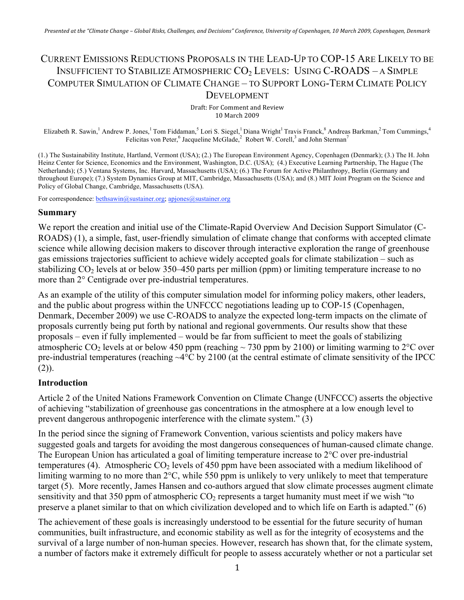# CURRENT EMISSIONS REDUCTIONS PROPOSALS IN THE LEAD-UP TO COP-15 ARE LIKELY TO BE INSUFFICIENT TO STABILIZE ATMOSPHERIC CO<sub>2</sub> LEVELS: USING C-ROADS - A SIMPLE COMPUTER SIMULATION OF CLIMATE CHANGE – TO SUPPORT LONG-TERM CLIMATE POLICY **DEVELOPMENT**

Draft:
For
Comment
and
Review 10
March
2009

Elizabeth R. Sawin, <sup>1</sup> Andrew P. Jones, <sup>1</sup> Tom Fiddaman, 5 Lori S. Siegel, <sup>1</sup> Diana Wright<sup>1</sup> Travis Franck, <sup>8</sup> Andreas Barkman, 2 Tom Cummings, 4 Felicitas von Peter,  $6$  Jacqueline McGlade, $2$  Robert W. Corell,  $3$  and John Sterman<sup>7</sup>

(1.) The Sustainability Institute, Hartland, Vermont (USA); (2.) The European Environment Agency, Copenhagen (Denmark); (3.) The H. John Heinz Center for Science, Economics and the Environment, Washington, D.C. (USA); (4.) Executive Learning Partnership, The Hague (The Netherlands); (5.) Ventana Systems, Inc. Harvard, Massachusetts (USA); (6.) The Forum for Active Philanthropy, Berlin (Germany and throughout Europe); (7.) System Dynamics Group at MIT, Cambridge, Massachusetts (USA); and (8.) MIT Joint Program on the Science and Policy of Global Change, Cambridge, Massachusetts (USA).

For correspondence: bethsawin@sustainer.org; apjones@sustainer.org

#### **Summary**

We report the creation and initial use of the Climate-Rapid Overview And Decision Support Simulator (C-ROADS) (1), a simple, fast, user-friendly simulation of climate change that conforms with accepted climate science while allowing decision makers to discover through interactive exploration the range of greenhouse gas emissions trajectories sufficient to achieve widely accepted goals for climate stabilization – such as stabilizing  $CO<sub>2</sub>$  levels at or below 350–450 parts per million (ppm) or limiting temperature increase to no more than 2° Centigrade over pre-industrial temperatures.

As an example of the utility of this computer simulation model for informing policy makers, other leaders, and the public about progress within the UNFCCC negotiations leading up to COP-15 (Copenhagen, Denmark, December 2009) we use C-ROADS to analyze the expected long-term impacts on the climate of proposals currently being put forth by national and regional governments. Our results show that these proposals – even if fully implemented – would be far from sufficient to meet the goals of stabilizing atmospheric CO<sub>2</sub> levels at or below 450 ppm (reaching  $\sim$  730 ppm by 2100) or limiting warming to 2<sup>o</sup>C over pre-industrial temperatures (reaching ~4°C by 2100 (at the central estimate of climate sensitivity of the IPCC  $(2)$ ).

#### **Introduction**

Article 2 of the United Nations Framework Convention on Climate Change (UNFCCC) asserts the objective of achieving "stabilization of greenhouse gas concentrations in the atmosphere at a low enough level to prevent dangerous anthropogenic interference with the climate system." (3)

In the period since the signing of Framework Convention, various scientists and policy makers have suggested goals and targets for avoiding the most dangerous consequences of human-caused climate change. The European Union has articulated a goal of limiting temperature increase to 2°C over pre-industrial temperatures (4). Atmospheric  $CO<sub>2</sub>$  levels of 450 ppm have been associated with a medium likelihood of limiting warming to no more than 2°C, while 550 ppm is unlikely to very unlikely to meet that temperature target (5). More recently, James Hansen and co-authors argued that slow climate processes augment climate sensitivity and that 350 ppm of atmospheric  $CO<sub>2</sub>$  represents a target humanity must meet if we wish "to preserve a planet similar to that on which civilization developed and to which life on Earth is adapted." (6)

The achievement of these goals is increasingly understood to be essential for the future security of human communities, built infrastructure, and economic stability as well as for the integrity of ecosystems and the survival of a large number of non-human species. However, research has shown that, for the climate system, a number of factors make it extremely difficult for people to assess accurately whether or not a particular set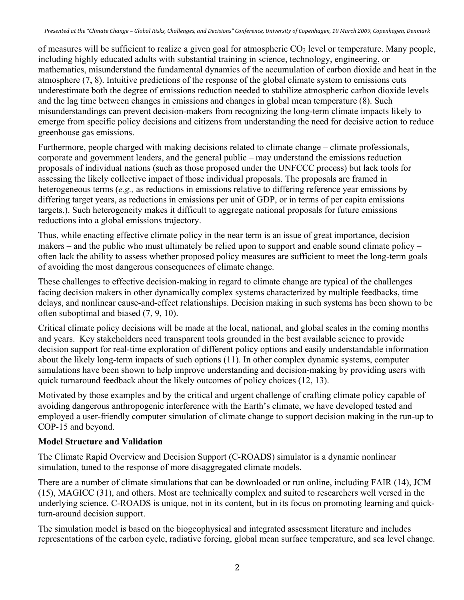of measures will be sufficient to realize a given goal for atmospheric  $CO<sub>2</sub>$  level or temperature. Many people, including highly educated adults with substantial training in science, technology, engineering, or mathematics, misunderstand the fundamental dynamics of the accumulation of carbon dioxide and heat in the atmosphere (7, 8). Intuitive predictions of the response of the global climate system to emissions cuts underestimate both the degree of emissions reduction needed to stabilize atmospheric carbon dioxide levels and the lag time between changes in emissions and changes in global mean temperature (8). Such misunderstandings can prevent decision-makers from recognizing the long-term climate impacts likely to emerge from specific policy decisions and citizens from understanding the need for decisive action to reduce greenhouse gas emissions.

Furthermore, people charged with making decisions related to climate change – climate professionals, corporate and government leaders, and the general public – may understand the emissions reduction proposals of individual nations (such as those proposed under the UNFCCC process) but lack tools for assessing the likely collective impact of those individual proposals. The proposals are framed in heterogeneous terms (*e.g.,* as reductions in emissions relative to differing reference year emissions by differing target years, as reductions in emissions per unit of GDP, or in terms of per capita emissions targets.). Such heterogeneity makes it difficult to aggregate national proposals for future emissions reductions into a global emissions trajectory.

Thus, while enacting effective climate policy in the near term is an issue of great importance, decision makers – and the public who must ultimately be relied upon to support and enable sound climate policy – often lack the ability to assess whether proposed policy measures are sufficient to meet the long-term goals of avoiding the most dangerous consequences of climate change.

These challenges to effective decision-making in regard to climate change are typical of the challenges facing decision makers in other dynamically complex systems characterized by multiple feedbacks, time delays, and nonlinear cause-and-effect relationships. Decision making in such systems has been shown to be often suboptimal and biased (7, 9, 10).

Critical climate policy decisions will be made at the local, national, and global scales in the coming months and years. Key stakeholders need transparent tools grounded in the best available science to provide decision support for real-time exploration of different policy options and easily understandable information about the likely long-term impacts of such options (11). In other complex dynamic systems, computer simulations have been shown to help improve understanding and decision-making by providing users with quick turnaround feedback about the likely outcomes of policy choices (12, 13).

Motivated by those examples and by the critical and urgent challenge of crafting climate policy capable of avoiding dangerous anthropogenic interference with the Earth's climate, we have developed tested and employed a user-friendly computer simulation of climate change to support decision making in the run-up to COP-15 and beyond.

### **Model Structure and Validation**

The Climate Rapid Overview and Decision Support (C-ROADS) simulator is a dynamic nonlinear simulation, tuned to the response of more disaggregated climate models.

There are a number of climate simulations that can be downloaded or run online, including FAIR (14), JCM (15), MAGICC (31), and others. Most are technically complex and suited to researchers well versed in the underlying science. C-ROADS is unique, not in its content, but in its focus on promoting learning and quickturn-around decision support.

The simulation model is based on the biogeophysical and integrated assessment literature and includes representations of the carbon cycle, radiative forcing, global mean surface temperature, and sea level change.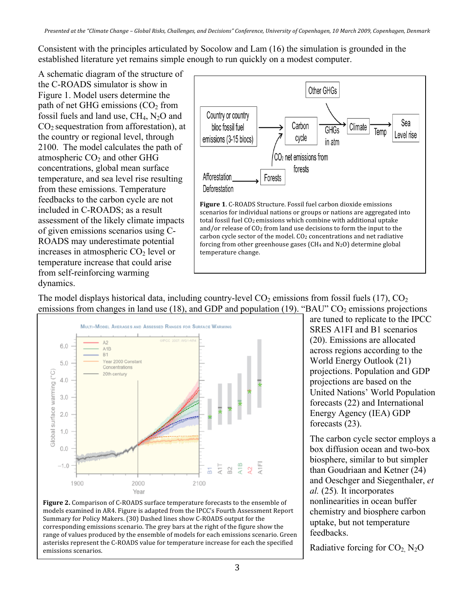Consistent with the principles articulated by Socolow and Lam (16) the simulation is grounded in the established literature yet remains simple enough to run quickly on a modest computer.

A schematic diagram of the structure of the C-ROADS simulator is show in Figure 1. Model users determine the path of net GHG emissions  $(CO<sub>2</sub>$  from fossil fuels and land use,  $CH_4$ ,  $N_2O$  and  $CO<sub>2</sub>$  sequestration from afforestation), at the country or regional level, through 2100. The model calculates the path of atmospheric  $CO<sub>2</sub>$  and other GHG concentrations, global mean surface temperature, and sea level rise resulting from these emissions. Temperature feedbacks to the carbon cycle are not included in C-ROADS; as a result assessment of the likely climate impacts of given emissions scenarios using C-ROADS may underestimate potential increases in atmospheric  $CO<sub>2</sub>$  level or temperature increase that could arise from self-reinforcing warming dynamics.



The model displays historical data, including country-level  $CO_2$  emissions from fossil fuels (17),  $CO_2$ emissions from changes in land use (18), and GDP and population (19). "BAU"  $CO<sub>2</sub>$  emissions projections



Figure 2. Comparison of C-ROADS surface temperature forecasts to the ensemble of models
examined
in
AR4.
Figure
is
adapted
from
the
IPCC's
Fourth
Assessment
Report Summary
for
Policy
Makers.
(30)
Dashed
lines
show
C‐ROADS
output
for
the corresponding
emissions
scenario.
The
grey
bars
at
the
right
of
the
figure
show
the range of values produced by the ensemble of models for each emissions scenario. Green asterisks
represent
the
C‐ROADS
value
for
temperature
increase
for
each
the
specified emissions
scenarios.

are tuned to replicate to the IPCC SRES A1FI and B1 scenarios (20). Emissions are allocated across regions according to the World Energy Outlook (21) projections. Population and GDP projections are based on the United Nations' World Population forecasts (22) and International Energy Agency (IEA) GDP forecasts (23).

The carbon cycle sector employs a box diffusion ocean and two-box biosphere, similar to but simpler than Goudriaan and Ketner (24) and Oeschger and Siegenthaler, *et al.* (25)*.* It incorporates nonlinearities in ocean buffer chemistry and biosphere carbon uptake, but not temperature feedbacks.

Radiative forcing for  $CO<sub>2</sub>$ , N<sub>2</sub>O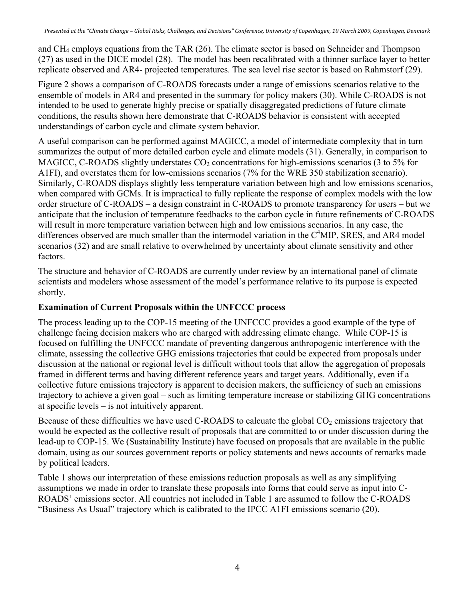and CH4 employs equations from the TAR (26). The climate sector is based on Schneider and Thompson (27) as used in the DICE model (28). The model has been recalibrated with a thinner surface layer to better replicate observed and AR4- projected temperatures. The sea level rise sector is based on Rahmstorf (29).

Figure 2 shows a comparison of C-ROADS forecasts under a range of emissions scenarios relative to the ensemble of models in AR4 and presented in the summary for policy makers (30). While C-ROADS is not intended to be used to generate highly precise or spatially disaggregated predictions of future climate conditions, the results shown here demonstrate that C-ROADS behavior is consistent with accepted understandings of carbon cycle and climate system behavior.

A useful comparison can be performed against MAGICC, a model of intermediate complexity that in turn summarizes the output of more detailed carbon cycle and climate models (31). Generally, in comparison to MAGICC, C-ROADS slightly understates  $CO<sub>2</sub>$  concentrations for high-emissions scenarios (3 to 5% for A1FI), and overstates them for low-emissions scenarios (7% for the WRE 350 stabilization scenario). Similarly, C-ROADS displays slightly less temperature variation between high and low emissions scenarios, when compared with GCMs. It is impractical to fully replicate the response of complex models with the low order structure of C-ROADS – a design constraint in C-ROADS to promote transparency for users – but we anticipate that the inclusion of temperature feedbacks to the carbon cycle in future refinements of C-ROADS will result in more temperature variation between high and low emissions scenarios. In any case, the differences observed are much smaller than the intermodel variation in the C<sup>4</sup>MIP, SRES, and AR4 model scenarios (32) and are small relative to overwhelmed by uncertainty about climate sensitivity and other factors.

The structure and behavior of C-ROADS are currently under review by an international panel of climate scientists and modelers whose assessment of the model's performance relative to its purpose is expected shortly.

### **Examination of Current Proposals within the UNFCCC process**

The process leading up to the COP-15 meeting of the UNFCCC provides a good example of the type of challenge facing decision makers who are charged with addressing climate change. While COP-15 is focused on fulfilling the UNFCCC mandate of preventing dangerous anthropogenic interference with the climate, assessing the collective GHG emissions trajectories that could be expected from proposals under discussion at the national or regional level is difficult without tools that allow the aggregation of proposals framed in different terms and having different reference years and target years. Additionally, even if a collective future emissions trajectory is apparent to decision makers, the sufficiency of such an emissions trajectory to achieve a given goal – such as limiting temperature increase or stabilizing GHG concentrations at specific levels – is not intuitively apparent.

Because of these difficulties we have used C-ROADS to calcuate the global  $CO<sub>2</sub>$  emissions trajectory that would be expected as the collective result of proposals that are committed to or under discussion during the lead-up to COP-15. We (Sustainability Institute) have focused on proposals that are available in the public domain, using as our sources government reports or policy statements and news accounts of remarks made by political leaders.

Table 1 shows our interpretation of these emissions reduction proposals as well as any simplifying assumptions we made in order to translate these proposals into forms that could serve as input into C-ROADS' emissions sector. All countries not included in Table 1 are assumed to follow the C-ROADS "Business As Usual" trajectory which is calibrated to the IPCC A1FI emissions scenario (20).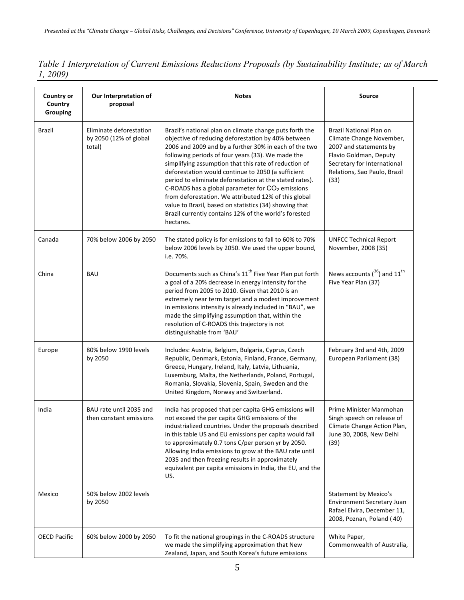*Table 1 Interpretation of Current Emissions Reductions Proposals (by Sustainability Institute; as of March 1, 2009)*

| <b>Country or</b><br>Country<br><b>Grouping</b> | Our Interpretation of<br>proposal                           | <b>Notes</b>                                                                                                                                                                                                                                                                                                                                                                                                                                                                                                                                                                                                                                        | Source                                                                                                                                                                         |
|-------------------------------------------------|-------------------------------------------------------------|-----------------------------------------------------------------------------------------------------------------------------------------------------------------------------------------------------------------------------------------------------------------------------------------------------------------------------------------------------------------------------------------------------------------------------------------------------------------------------------------------------------------------------------------------------------------------------------------------------------------------------------------------------|--------------------------------------------------------------------------------------------------------------------------------------------------------------------------------|
| Brazil                                          | Eliminate deforestation<br>by 2050 (12% of global<br>total) | Brazil's national plan on climate change puts forth the<br>objective of reducing deforestation by 40% between<br>2006 and 2009 and by a further 30% in each of the two<br>following periods of four years (33). We made the<br>simplifying assumption that this rate of reduction of<br>deforestation would continue to 2050 (a sufficient<br>period to eliminate deforestation at the stated rates).<br>C-ROADS has a global parameter for $CO2$ emissions<br>from deforestation. We attributed 12% of this global<br>value to Brazil, based on statistics (34) showing that<br>Brazil currently contains 12% of the world's forested<br>hectares. | Brazil National Plan on<br>Climate Change November,<br>2007 and statements by<br>Flavio Goldman, Deputy<br>Secretary for International<br>Relations, Sao Paulo, Brazil<br>(33) |
| Canada                                          | 70% below 2006 by 2050                                      | The stated policy is for emissions to fall to 60% to 70%<br>below 2006 levels by 2050. We used the upper bound,<br>i.e. 70%.                                                                                                                                                                                                                                                                                                                                                                                                                                                                                                                        | <b>UNFCC Technical Report</b><br>November, 2008 (35)                                                                                                                           |
| China                                           | <b>BAU</b>                                                  | Documents such as China's 11 <sup>th</sup> Five Year Plan put forth<br>a goal of a 20% decrease in energy intensity for the<br>period from 2005 to 2010. Given that 2010 is an<br>extremely near term target and a modest improvement<br>in emissions intensity is already included in "BAU", we<br>made the simplifying assumption that, within the<br>resolution of C-ROADS this trajectory is not<br>distinguishable from 'BAU'                                                                                                                                                                                                                  | News accounts $(36)$ and 11 <sup>th</sup><br>Five Year Plan (37)                                                                                                               |
| Europe                                          | 80% below 1990 levels<br>by 2050                            | Includes: Austria, Belgium, Bulgaria, Cyprus, Czech<br>Republic, Denmark, Estonia, Finland, France, Germany,<br>Greece, Hungary, Ireland, Italy, Latvia, Lithuania,<br>Luxemburg, Malta, the Netherlands, Poland, Portugal,<br>Romania, Slovakia, Slovenia, Spain, Sweden and the<br>United Kingdom, Norway and Switzerland.                                                                                                                                                                                                                                                                                                                        | February 3rd and 4th, 2009<br>European Parliament (38)                                                                                                                         |
| India                                           | BAU rate until 2035 and<br>then constant emissions          | India has proposed that per capita GHG emissions will<br>not exceed the per capita GHG emissions of the<br>industrialized countries. Under the proposals described<br>in this table US and EU emissions per capita would fall<br>to approximately 0.7 tons C/per person yr by 2050.<br>Allowing India emissions to grow at the BAU rate until<br>2035 and then freezing results in approximately<br>equivalent per capita emissions in India, the EU, and the<br>US.                                                                                                                                                                                | Prime Minister Manmohan<br>Singh speech on release of<br>Climate Change Action Plan,<br>June 30, 2008, New Delhi<br>(39)                                                       |
| Mexico                                          | 50% below 2002 levels<br>by 2050                            |                                                                                                                                                                                                                                                                                                                                                                                                                                                                                                                                                                                                                                                     | <b>Statement by Mexico's</b><br>Environment Secretary Juan<br>Rafael Elvira, December 11,<br>2008, Poznan, Poland (40)                                                         |
| <b>OECD Pacific</b>                             | 60% below 2000 by 2050                                      | To fit the national groupings in the C-ROADS structure<br>we made the simplifying approximation that New<br>Zealand, Japan, and South Korea's future emissions                                                                                                                                                                                                                                                                                                                                                                                                                                                                                      | White Paper,<br>Commonwealth of Australia,                                                                                                                                     |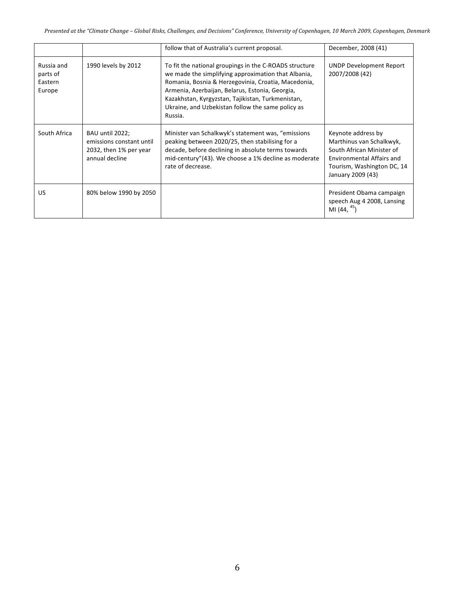|                                             |                                                                                         | follow that of Australia's current proposal.                                                                                                                                                                                                                                                                                                 | December, 2008 (41)                                                                                                                                                |
|---------------------------------------------|-----------------------------------------------------------------------------------------|----------------------------------------------------------------------------------------------------------------------------------------------------------------------------------------------------------------------------------------------------------------------------------------------------------------------------------------------|--------------------------------------------------------------------------------------------------------------------------------------------------------------------|
| Russia and<br>parts of<br>Eastern<br>Europe | 1990 levels by 2012                                                                     | To fit the national groupings in the C-ROADS structure<br>we made the simplifying approximation that Albania,<br>Romania, Bosnia & Herzegovinia, Croatia, Macedonia,<br>Armenia, Azerbaijan, Belarus, Estonia, Georgia,<br>Kazakhstan, Kyrgyzstan, Tajikistan, Turkmenistan,<br>Ukraine, and Uzbekistan follow the same policy as<br>Russia. | <b>UNDP Development Report</b><br>2007/2008 (42)                                                                                                                   |
| South Africa                                | BAU until 2022;<br>emissions constant until<br>2032, then 1% per year<br>annual decline | Minister van Schalkwyk's statement was, "emissions"<br>peaking between 2020/25, then stabilising for a<br>decade, before declining in absolute terms towards<br>mid-century"(43). We choose a 1% decline as moderate<br>rate of decrease.                                                                                                    | Keynote address by<br>Marthinus van Schalkwyk,<br>South African Minister of<br><b>Environmental Affairs and</b><br>Tourism, Washington DC, 14<br>January 2009 (43) |
| US                                          | 80% below 1990 by 2050                                                                  |                                                                                                                                                                                                                                                                                                                                              | President Obama campaign<br>speech Aug 4 2008, Lansing<br>MI $(44, 45)$                                                                                            |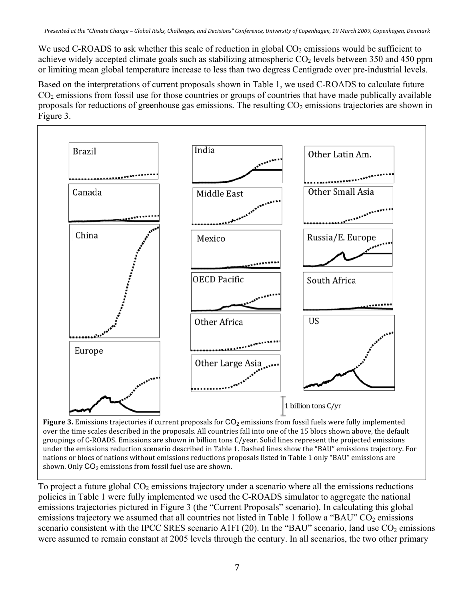We used C-ROADS to ask whether this scale of reduction in global  $CO<sub>2</sub>$  emissions would be sufficient to achieve widely accepted climate goals such as stabilizing atmospheric  $CO<sub>2</sub>$  levels between 350 and 450 ppm or limiting mean global temperature increase to less than two degress Centigrade over pre-industrial levels.

Based on the interpretations of current proposals shown in Table 1, we used C-ROADS to calculate future  $CO<sub>2</sub>$  emissions from fossil use for those countries or groups of countries that have made publically available proposals for reductions of greenhouse gas emissions. The resulting  $CO<sub>2</sub>$  emissions trajectories are shown in Figure 3.



**Figure 3.** Emissions trajectories if current proposals for CO<sub>2</sub> emissions from fossil fuels were fully implemented over the time scales described in the proposals. All countries fall into one of the 15 blocs shown above, the default groupings
of
C‐ROADS.
Emissions
are
shown
in
billion
tons
C/year.
Solid
lines
represent
the
projected
emissions under the emissions reduction scenario described in Table 1. Dashed lines show the "BAU" emissions trajectory. For nations or blocs of nations without emissions reductions proposals listed in Table 1 only "BAU" emissions are shown. Only CO<sub>2</sub> emissions from fossil fuel use are shown.

To project a future global  $CO<sub>2</sub>$  emissions trajectory under a scenario where all the emissions reductions policies in Table 1 were fully implemented we used the C-ROADS simulator to aggregate the national emissions trajectories pictured in Figure 3 (the "Current Proposals" scenario). In calculating this global emissions trajectory we assumed that all countries not listed in Table 1 follow a "BAU"  $CO<sub>2</sub>$  emissions scenario consistent with the IPCC SRES scenario A1FI (20). In the "BAU" scenario, land use  $CO<sub>2</sub>$  emissions were assumed to remain constant at 2005 levels through the century. In all scenarios, the two other primary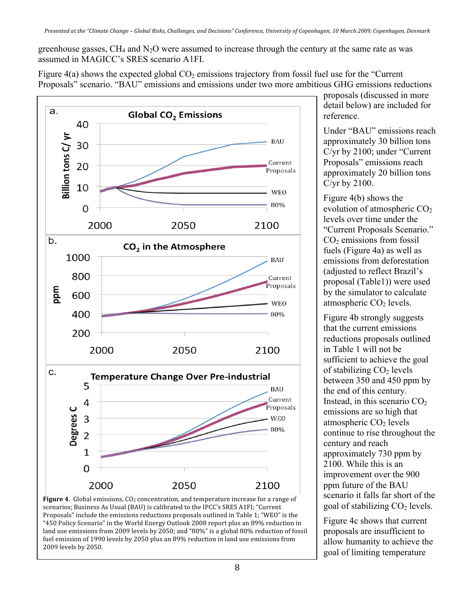greenhouse gasses,  $CH_4$  and  $N_2O$  were assumed to increase through the century at the same rate as was assumed in MAGICC's SRES scenario A1FI.

Figure  $4(a)$  shows the expected global  $CO<sub>2</sub>$  emissions trajectory from fossil fuel use for the "Current" Proposals" scenario. "BAU" emissions and emissions under two more ambitious GHG emissions reductions





proposals (discussed in more detail below) are included for reference.

Under "BAU" emissions reach approximately 30 billion tons C/yr by 2100; under "Current Proposals" emissions reach approximately 20 billion tons C/yr by 2100.

Figure 4(b) shows the evolution of atmospheric  $CO<sub>2</sub>$ levels over time under the "Current Proposals Scenario."  $CO<sub>2</sub>$  emissions from fossil fuels (Figure 4a) as well as emissions from deforestation (adjusted to reflect Brazil's proposal (Table1)) were used by the simulator to calculate atmospheric  $CO<sub>2</sub>$  levels.

Figure 4b strongly suggests that the current emissions reductions proposals outlined in Table 1 will not be sufficient to achieve the goal of stabilizing  $CO<sub>2</sub>$  levels between 350 and 450 ppm by the end of this century. Instead, in this scenario  $CO<sub>2</sub>$ emissions are so high that atmospheric  $CO<sub>2</sub>$  levels continue to rise throughout the century and reach approximately 730 ppm by 2100. While this is an improvement over the 900 ppm future of the BAU scenario it falls far short of the goal of stabilizing  $CO<sub>2</sub>$  levels.

Figure 4c shows that current proposals are insufficient to allow humanity to achieve the goal of limiting temperature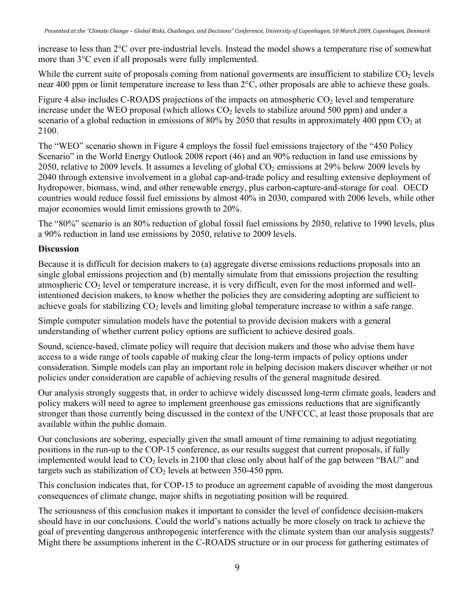increase to less than 2°C over pre-industrial levels. Instead the model shows a temperature rise of somewhat more than 3°C even if all proposals were fully implemented.

While the current suite of proposals coming from national goverments are insufficient to stabilize CO<sub>2</sub> levels near 400 ppm or limit temperature increase to less than 2°C, other proposals are able to achieve these goals.

Figure 4 also includes C-ROADS projections of the impacts on atmospheric  $CO<sub>2</sub>$  level and temperature increase under the WEO proposal (which allows  $CO<sub>2</sub>$  levels to stabilize around 500 ppm) and under a scenario of a global reduction in emissions of 80% by 2050 that results in approximately 400 ppm  $CO<sub>2</sub>$  at 2100.

The "WEO" scenario shown in Figure 4 employs the fossil fuel emissions trajectory of the "450 Policy Scenario" in the World Energy Outlook 2008 report (46) and an 90% reduction in land use emissions by 2050, relative to 2009 levels. It assumes a leveling of global  $CO<sub>2</sub>$  emissions at 29% below 2009 levels by 2040 through extensive involvement in a global cap-and-trade policy and resulting extensive deployment of hydropower, biomass, wind, and other renewable energy, plus carbon-capture-and-storage for coal. OECD countries would reduce fossil fuel emissions by almost 40% in 2030, compared with 2006 levels, while other major economies would limit emissions growth to 20%.

The "80%" scenario is an 80% reduction of global fossil fuel emissions by 2050, relative to 1990 levels, plus a 90% reduction in land use emissions by 2050, relative to 2009 levels.

### **Discussion**

Because it is difficult for decision makers to (a) aggregate diverse emissions reductions proposals into an single global emissions projection and (b) mentally simulate from that emissions projection the resulting atmospheric CO<sub>2</sub> level or temperature increase, it is very difficult, even for the most informed and wellintentioned decision makers, to know whether the policies they are considering adopting are sufficient to achieve goals for stabilizing  $CO<sub>2</sub>$  levels and limiting global temperature increase to within a safe range.

Simple computer simulation models have the potential to provide decision makers with a general understanding of whether current policy options are sufficient to achieve desired goals.

Sound, science-based, climate policy will require that decision makers and those who advise them have access to a wide range of tools capable of making clear the long-term impacts of policy options under consideration. Simple models can play an important role in helping decision makers discover whether or not policies under consideration are capable of achieving results of the general magnitude desired.

Our analysis strongly suggests that, in order to achieve widely discussed long-term climate goals, leaders and policy makers will need to agree to implement greenhouse gas emissions reductions that are significantly stronger than those currently being discussed in the context of the UNFCCC, at least those proposals that are available within the public domain.

Our conclusions are sobering, especially given the small amount of time remaining to adjust negotiating positions in the run-up to the COP-15 conference, as our results suggest that current proposals, if fully implemented would lead to  $CO<sub>2</sub>$  levels in 2100 that close only about half of the gap between "BAU" and targets such as stabilization of  $CO<sub>2</sub>$  levels at between 350-450 ppm.

This conclusion indicates that, for COP-15 to produce an agreement capable of avoiding the most dangerous consequences of climate change, major shifts in negotiating position will be required.

The seriousness of this conclusion makes it important to consider the level of confidence decision-makers should have in our conclusions. Could the world's nations actually be more closely on track to achieve the goal of preventing dangerous anthropogenic interference with the climate system than our analysis suggests? Might there be assumptions inherent in the C-ROADS structure or in our process for gathering estimates of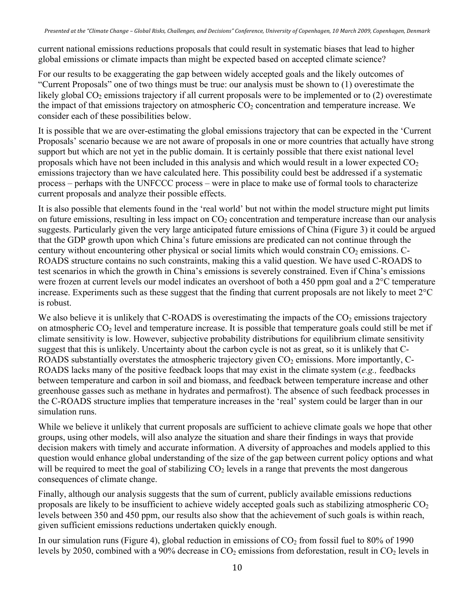current national emissions reductions proposals that could result in systematic biases that lead to higher global emissions or climate impacts than might be expected based on accepted climate science?

For our results to be exaggerating the gap between widely accepted goals and the likely outcomes of "Current Proposals" one of two things must be true: our analysis must be shown to (1) overestimate the likely global  $CO_2$  emissions trajectory if all current proposals were to be implemented or to (2) overestimate the impact of that emissions trajectory on atmospheric  $CO<sub>2</sub>$  concentration and temperature increase. We consider each of these possibilities below.

It is possible that we are over-estimating the global emissions trajectory that can be expected in the 'Current Proposals' scenario because we are not aware of proposals in one or more countries that actually have strong support but which are not yet in the public domain. It is certainly possible that there exist national level proposals which have not been included in this analysis and which would result in a lower expected  $CO<sub>2</sub>$ emissions trajectory than we have calculated here. This possibility could best be addressed if a systematic process – perhaps with the UNFCCC process – were in place to make use of formal tools to characterize current proposals and analyze their possible effects.

It is also possible that elements found in the 'real world' but not within the model structure might put limits on future emissions, resulting in less impact on  $CO<sub>2</sub>$  concentration and temperature increase than our analysis suggests. Particularly given the very large anticipated future emissions of China (Figure 3) it could be argued that the GDP growth upon which China's future emissions are predicated can not continue through the century without encountering other physical or social limits which would constrain  $CO<sub>2</sub>$  emissions. C-ROADS structure contains no such constraints, making this a valid question. We have used C-ROADS to test scenarios in which the growth in China's emissions is severely constrained. Even if China's emissions were frozen at current levels our model indicates an overshoot of both a 450 ppm goal and a 2°C temperature increase. Experiments such as these suggest that the finding that current proposals are not likely to meet 2°C is robust.

We also believe it is unlikely that C-ROADS is overestimating the impacts of the  $CO<sub>2</sub>$  emissions trajectory on atmospheric  $CO<sub>2</sub>$  level and temperature increase. It is possible that temperature goals could still be met if climate sensitivity is low. However, subjective probability distributions for equilibrium climate sensitivity suggest that this is unlikely. Uncertainty about the carbon cycle is not as great, so it is unlikely that C-ROADS substantially overstates the atmospheric trajectory given  $CO<sub>2</sub>$  emissions. More importantly, C-ROADS lacks many of the positive feedback loops that may exist in the climate system (*e.g.,* feedbacks between temperature and carbon in soil and biomass, and feedback between temperature increase and other greenhouse gasses such as methane in hydrates and permafrost). The absence of such feedback processes in the C-ROADS structure implies that temperature increases in the 'real' system could be larger than in our simulation runs.

While we believe it unlikely that current proposals are sufficient to achieve climate goals we hope that other groups, using other models, will also analyze the situation and share their findings in ways that provide decision makers with timely and accurate information. A diversity of approaches and models applied to this question would enhance global understanding of the size of the gap between current policy options and what will be required to meet the goal of stabilizing  $CO<sub>2</sub>$  levels in a range that prevents the most dangerous consequences of climate change.

Finally, although our analysis suggests that the sum of current, publicly available emissions reductions proposals are likely to be insufficient to achieve widely accepted goals such as stabilizing atmospheric  $CO<sub>2</sub>$ levels between 350 and 450 ppm, our results also show that the achievement of such goals is within reach, given sufficient emissions reductions undertaken quickly enough.

In our simulation runs (Figure 4), global reduction in emissions of  $CO<sub>2</sub>$  from fossil fuel to 80% of 1990 levels by 2050, combined with a 90% decrease in  $CO<sub>2</sub>$  emissions from deforestation, result in  $CO<sub>2</sub>$  levels in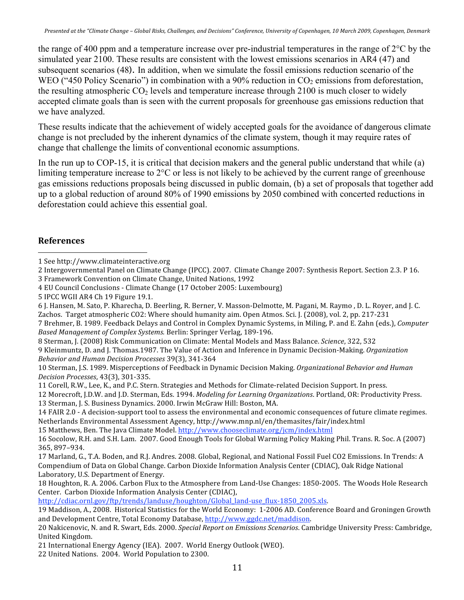the range of 400 ppm and a temperature increase over pre-industrial temperatures in the range of 2°C by the simulated year 2100. These results are consistent with the lowest emissions scenarios in AR4 (47) and subsequent scenarios (48). In addition, when we simulate the fossil emissions reduction scenario of the WEO ("450 Policy Scenario") in combination with a 90% reduction in  $CO<sub>2</sub>$  emissions from deforestation, the resulting atmospheric  $CO<sub>2</sub>$  levels and temperature increase through 2100 is much closer to widely accepted climate goals than is seen with the current proposals for greenhouse gas emissions reduction that we have analyzed.

These results indicate that the achievement of widely accepted goals for the avoidance of dangerous climate change is not precluded by the inherent dynamics of the climate system, though it may require rates of change that challenge the limits of conventional economic assumptions.

In the run up to COP-15, it is critical that decision makers and the general public understand that while (a) limiting temperature increase to 2°C or less is not likely to be achieved by the current range of greenhouse gas emissions reductions proposals being discussed in public domain, (b) a set of proposals that together add up to a global reduction of around 80% of 1990 emissions by 2050 combined with concerted reductions in deforestation could achieve this essential goal.

## **References**

8
Sterman,
J.
(2008)
Risk
Communication
on
Climate:
Mental
Models
and
Mass
Balance. *Science*,
322,
532 9
Kleinmuntz,
D.
and
J.
Thomas.1987.
The
Value
of
Action
and
Inference
in
Dynamic
Decision‐Making. *Organization Behavior
and
Human
Decision
Processes*39(3),
341‐364

http://cdiac.ornl.gov/ftp/trends/landuse/houghton/Global\_land-use\_flux-1850\_2005.xls.

 1
See
http://www.climateinteractive.org

<sup>2</sup> Intergovernmental Panel on Climate Change (IPCC). 2007. Climate Change 2007: Synthesis Report. Section 2.3. P 16. 3 Framework
Convention
on
Climate
Change,
United
Nations,
1992

<sup>4</sup>EU
Council
Conclusions
‐
Climate
Change
(17
October
2005:
Luxembourg)

<sup>5</sup>IPCC
WGII
AR4
Ch
19
Figure
19.1.

<sup>6</sup> J. Hansen, M. Sato, P. Kharecha, D. Beerling, R. Berner, V. Masson-Delmotte, M. Pagani, M. Raymo, D. L. Royer, and J. C. Zachos. Target atmospheric CO2: Where should humanity aim. Open Atmos. Sci. I. (2008), vol. 2, pp. 217-231

<sup>7</sup> Brehmer, B. 1989. Feedback Delays and Control in Complex Dynamic Systems, in Miling, P. and E. Zahn (eds.), *Computer* Based Management of Complex Systems. Berlin: Springer Verlag, 189-196.

<sup>10</sup> Sterman, I.S. 1989. Misperceptions of Feedback in Dynamic Decision Making. Organizational Behavior and Human *Decision
Processes*,
43(3),
301‐335.

<sup>11</sup> Corell, R.W., Lee, K., and P.C. Stern. Strategies and Methods for Climate-related Decision Support. In press.

<sup>12</sup> Morecroft, J.D.W. and J.D. Sterman, Eds. 1994. Modeling for Learning Organizations. Portland, OR: Productivity Press. 13
Sterman,
J.
S.
Business
Dynamics.
2000.
Irwin
McGraw
Hill:
Boston,
MA.

<sup>14</sup> FAIR 2.0 - A decision-support tool to assess the environmental and economic consequences of future climate regimes. Netherlands
Environmental
Assessment
Agency,
http://www.mnp.nl/en/themasites/fair/index.html

<sup>15</sup> Matthews, Ben. The Java Climate Model. http://www.chooseclimate.org/jcm/index.html

<sup>16</sup> Socolow, R.H. and S.H. Lam. 2007. Good Enough Tools for Global Warming Policy Making Phil. Trans. R. Soc. A (2007) 365,
897–934.

<sup>17</sup> Marland, G., T.A. Boden, and R.J. Andres. 2008. Global, Regional, and National Fossil Fuel CO2 Emissions. In Trends: A Compendium of Data on Global Change. Carbon Dioxide Information Analysis Center (CDIAC), Oak Ridge National Laboratory,
U.S.
Department
of
Energy.

<sup>18</sup> Houghton, R. A. 2006. Carbon Flux to the Atmosphere from Land-Use Changes: 1850-2005. The Woods Hole Research Center.

Carbon
Dioxide
Information
Analysis
Center
(CDIAC),

<sup>19</sup> Maddison, A., 2008. Historical Statistics for the World Economy: 1-2006 AD. Conference Board and Groningen Growth and
Development
Centre,
Total
Economy
Database,
http://www.ggdc.net/maddison.

<sup>20</sup>Nakicenovic,
N.
and
R.
Swart,
Eds.
2000. *Special
Report
on
Emissions
Scenarios*.
Cambridge
University
Press:
Cambridge, United
Kingdom.

<sup>21</sup>International
Energy
Agency
(IEA).

2007.

World
Energy
Outlook
(WEO).

<sup>22</sup>United
Nations.

2004.

World
Population
to
2300.